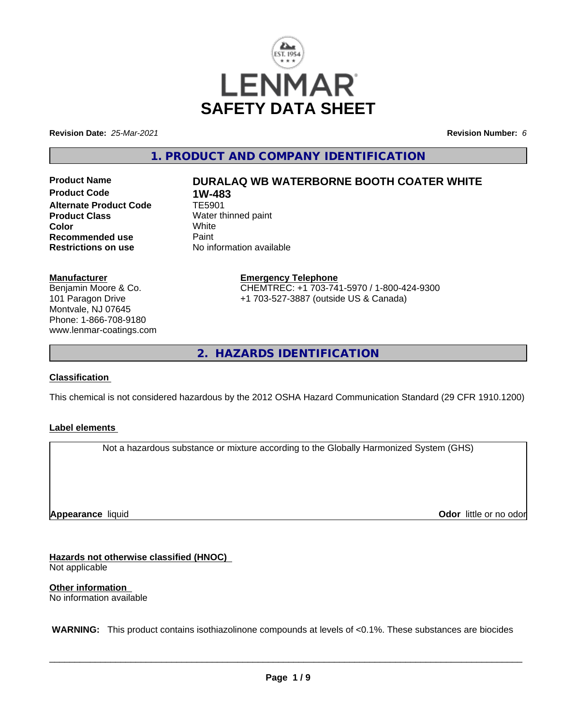

**Revision Date:** *25-Mar-2021* **Revision Number:** *6*

**1. PRODUCT AND COMPANY IDENTIFICATION**

**Product Code 1W-483**<br>Alternate Product Code 1E5901 **Alternate Product Code Product Class** Water thinned paint<br> **Color** White **Color** White White **Recommended use Faint Paint Paint Restrictions on use Fig. 2016** 

# **Product Name DURALAQ WB WATERBORNE BOOTH COATER WHITE**

**No information available** 

**Manufacturer**

Benjamin Moore & Co. 101 Paragon Drive Montvale, NJ 07645 Phone: 1-866-708-9180 www.lenmar-coatings.com **Emergency Telephone** CHEMTREC: +1 703-741-5970 / 1-800-424-9300 +1 703-527-3887 (outside US & Canada)

**2. HAZARDS IDENTIFICATION**

## **Classification**

This chemical is not considered hazardous by the 2012 OSHA Hazard Communication Standard (29 CFR 1910.1200)

## **Label elements**

Not a hazardous substance or mixture according to the Globally Harmonized System (GHS)

**Appearance** liquid

**Odor** little or no odor

**Hazards not otherwise classified (HNOC)**

Not applicable

**Other information**

No information available

 **WARNING:** This product contains isothiazolinone compounds at levels of <0.1%. These substances are biocides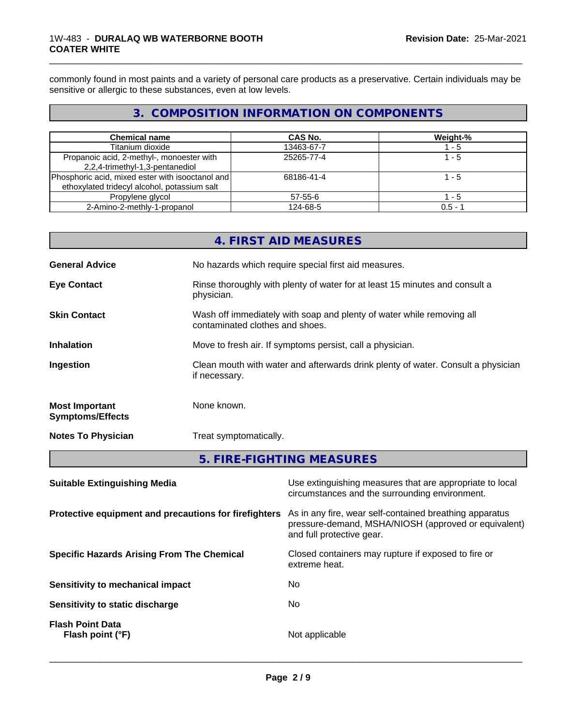## 1W-483 - **DURALAQ WB WATERBORNE BOOTH COATER WHITE**

commonly found in most paints and a variety of personal care products as a preservative. Certain individuals may be sensitive or allergic to these substances, even at low levels.

\_\_\_\_\_\_\_\_\_\_\_\_\_\_\_\_\_\_\_\_\_\_\_\_\_\_\_\_\_\_\_\_\_\_\_\_\_\_\_\_\_\_\_\_\_\_\_\_\_\_\_\_\_\_\_\_\_\_\_\_\_\_\_\_\_\_\_\_\_\_\_\_\_\_\_\_\_\_\_\_\_\_\_\_\_\_\_\_\_\_\_\_\_

## **3. COMPOSITION INFORMATION ON COMPONENTS**

| <b>Chemical name</b>                             | <b>CAS No.</b> | Weight-%  |
|--------------------------------------------------|----------------|-----------|
| Titanium dioxide                                 | 13463-67-7     | - 5       |
| Propanoic acid, 2-methyl-, monoester with        | 25265-77-4     | 1 - 5     |
| 2,2,4-trimethyl-1,3-pentanediol                  |                |           |
| Phosphoric acid, mixed ester with isooctanol and | 68186-41-4     | l - 5     |
| ethoxylated tridecyl alcohol, potassium salt     |                |           |
| Propylene glycol                                 | 57-55-6        | - 5       |
| 2-Amino-2-methly-1-propanol                      | 124-68-5       | $0.5 - 7$ |

|                                                  | <b>4. FIRST AID MEASURES</b>                                                                             |
|--------------------------------------------------|----------------------------------------------------------------------------------------------------------|
| <b>General Advice</b>                            | No hazards which require special first aid measures.                                                     |
| <b>Eye Contact</b>                               | Rinse thoroughly with plenty of water for at least 15 minutes and consult a<br>physician.                |
| <b>Skin Contact</b>                              | Wash off immediately with soap and plenty of water while removing all<br>contaminated clothes and shoes. |
| <b>Inhalation</b>                                | Move to fresh air. If symptoms persist, call a physician.                                                |
| Ingestion                                        | Clean mouth with water and afterwards drink plenty of water. Consult a physician<br>if necessary.        |
| <b>Most Important</b><br><b>Symptoms/Effects</b> | None known.                                                                                              |
| <b>Notes To Physician</b>                        | Treat symptomatically.                                                                                   |
|                                                  |                                                                                                          |

## **5. FIRE-FIGHTING MEASURES**

| <b>Suitable Extinguishing Media</b>                   | Use extinguishing measures that are appropriate to local<br>circumstances and the surrounding environment.                                   |
|-------------------------------------------------------|----------------------------------------------------------------------------------------------------------------------------------------------|
| Protective equipment and precautions for firefighters | As in any fire, wear self-contained breathing apparatus<br>pressure-demand, MSHA/NIOSH (approved or equivalent)<br>and full protective gear. |
| <b>Specific Hazards Arising From The Chemical</b>     | Closed containers may rupture if exposed to fire or<br>extreme heat.                                                                         |
| Sensitivity to mechanical impact                      | No.                                                                                                                                          |
| Sensitivity to static discharge                       | No                                                                                                                                           |
| <b>Flash Point Data</b><br>Flash point (°F)           | Not applicable                                                                                                                               |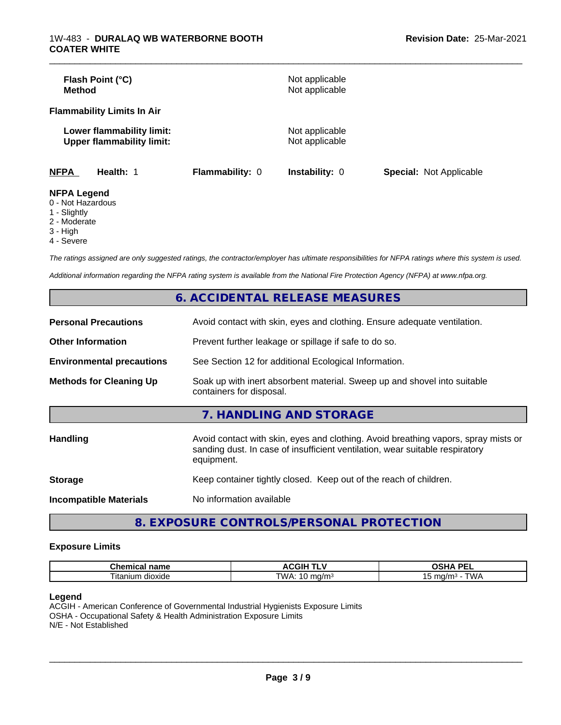| Flash Point (°C)<br>Method                                    |                 | Not applicable<br>Not applicable |                                |
|---------------------------------------------------------------|-----------------|----------------------------------|--------------------------------|
| <b>Flammability Limits In Air</b>                             |                 |                                  |                                |
| Lower flammability limit:<br><b>Upper flammability limit:</b> |                 | Not applicable<br>Not applicable |                                |
| <b>NFPA</b><br>Health: 1                                      | Flammability: 0 | <b>Instability: 0</b>            | <b>Special: Not Applicable</b> |
| <b>NFPA Legend</b><br>$\bigcap$ Niat Hamandaus                |                 |                                  |                                |

\_\_\_\_\_\_\_\_\_\_\_\_\_\_\_\_\_\_\_\_\_\_\_\_\_\_\_\_\_\_\_\_\_\_\_\_\_\_\_\_\_\_\_\_\_\_\_\_\_\_\_\_\_\_\_\_\_\_\_\_\_\_\_\_\_\_\_\_\_\_\_\_\_\_\_\_\_\_\_\_\_\_\_\_\_\_\_\_\_\_\_\_\_

- 0 Not Hazardous
- 1 Slightly
- 2 Moderate
- 3 High
- 4 Severe

*The ratings assigned are only suggested ratings, the contractor/employer has ultimate responsibilities for NFPA ratings where this system is used.*

*Additional information regarding the NFPA rating system is available from the National Fire Protection Agency (NFPA) at www.nfpa.org.*

|                                  | 6. ACCIDENTAL RELEASE MEASURES                                                                                                                                                   |
|----------------------------------|----------------------------------------------------------------------------------------------------------------------------------------------------------------------------------|
| <b>Personal Precautions</b>      | Avoid contact with skin, eyes and clothing. Ensure adequate ventilation.                                                                                                         |
| <b>Other Information</b>         | Prevent further leakage or spillage if safe to do so.                                                                                                                            |
| <b>Environmental precautions</b> | See Section 12 for additional Ecological Information.                                                                                                                            |
| <b>Methods for Cleaning Up</b>   | Soak up with inert absorbent material. Sweep up and shovel into suitable<br>containers for disposal.                                                                             |
|                                  | 7. HANDLING AND STORAGE                                                                                                                                                          |
| <b>Handling</b>                  | Avoid contact with skin, eyes and clothing. Avoid breathing vapors, spray mists or<br>sanding dust. In case of insufficient ventilation, wear suitable respiratory<br>equipment. |
| <b>Storage</b>                   | Keep container tightly closed. Keep out of the reach of children.                                                                                                                |
| <b>Incompatible Materials</b>    | No information available                                                                                                                                                         |
|                                  |                                                                                                                                                                                  |

**8. EXPOSURE CONTROLS/PERSONAL PROTECTION**

### **Exposure Limits**

| rhamia<br>$\sim$ 14.44 $\sigma$<br>⊶ne.<br>ernic<br>name | JGIH ⊺            | <b>DE</b><br>$\mathbf{r}$<br>-<br>-- |
|----------------------------------------------------------|-------------------|--------------------------------------|
| dioxide<br>, itanium                                     | TWA.<br>na/m<br>v | .<br>.<br>וטו<br>w                   |

## **Legend**

ACGIH - American Conference of Governmental Industrial Hygienists Exposure Limits OSHA - Occupational Safety & Health Administration Exposure Limits N/E - Not Established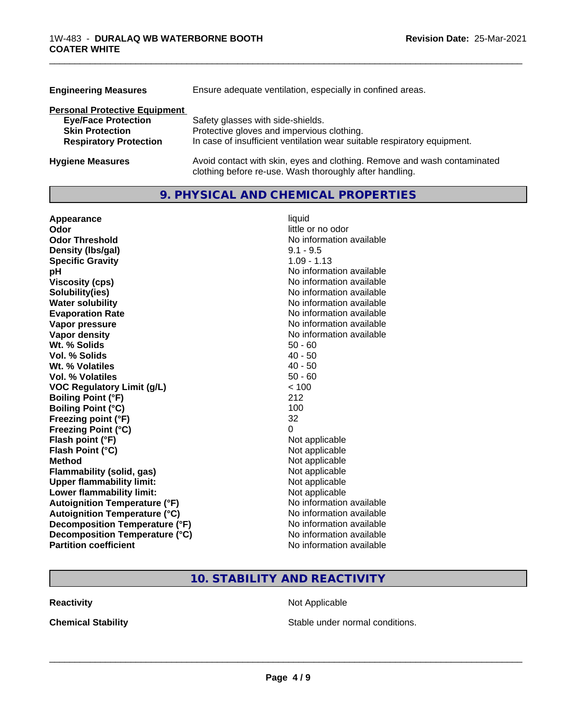| <b>Engineering Measures</b>          | Ensure adequate ventilation, especially in confined areas.                                                                          |
|--------------------------------------|-------------------------------------------------------------------------------------------------------------------------------------|
| <b>Personal Protective Equipment</b> |                                                                                                                                     |
| <b>Eye/Face Protection</b>           | Safety glasses with side-shields.                                                                                                   |
| <b>Skin Protection</b>               | Protective gloves and impervious clothing.                                                                                          |
| <b>Respiratory Protection</b>        | In case of insufficient ventilation wear suitable respiratory equipment.                                                            |
| <b>Hygiene Measures</b>              | Avoid contact with skin, eyes and clothing. Remove and wash contaminated<br>clothing before re-use. Wash thoroughly after handling. |

\_\_\_\_\_\_\_\_\_\_\_\_\_\_\_\_\_\_\_\_\_\_\_\_\_\_\_\_\_\_\_\_\_\_\_\_\_\_\_\_\_\_\_\_\_\_\_\_\_\_\_\_\_\_\_\_\_\_\_\_\_\_\_\_\_\_\_\_\_\_\_\_\_\_\_\_\_\_\_\_\_\_\_\_\_\_\_\_\_\_\_\_\_

## **9. PHYSICAL AND CHEMICAL PROPERTIES**

| Appearance                           | liquid                   |
|--------------------------------------|--------------------------|
| Odor                                 | little or no odor        |
| <b>Odor Threshold</b>                | No information available |
| Density (Ibs/gal)                    | $9.1 - 9.5$              |
| <b>Specific Gravity</b>              | $1.09 - 1.13$            |
| рH                                   | No information available |
| <b>Viscosity (cps)</b>               | No information available |
| Solubility(ies)                      | No information available |
| <b>Water solubility</b>              | No information available |
| <b>Evaporation Rate</b>              | No information available |
| Vapor pressure                       | No information available |
| <b>Vapor density</b>                 | No information available |
| Wt. % Solids                         | $50 - 60$                |
| Vol. % Solids                        | $40 - 50$                |
| Wt. % Volatiles                      | $40 - 50$                |
| <b>Vol. % Volatiles</b>              | $50 - 60$                |
| <b>VOC Regulatory Limit (g/L)</b>    | < 100                    |
| <b>Boiling Point (°F)</b>            | 212                      |
| <b>Boiling Point (°C)</b>            | 100                      |
| Freezing point (°F)                  | 32                       |
| <b>Freezing Point (°C)</b>           | 0                        |
| Flash point (°F)                     | Not applicable           |
| Flash Point (°C)                     | Not applicable           |
| <b>Method</b>                        | Not applicable           |
| <b>Flammability (solid, gas)</b>     | Not applicable           |
| <b>Upper flammability limit:</b>     | Not applicable           |
| Lower flammability limit:            | Not applicable           |
| <b>Autoignition Temperature (°F)</b> | No information available |
| <b>Autoignition Temperature (°C)</b> | No information available |
| Decomposition Temperature (°F)       | No information available |
| Decomposition Temperature (°C)       | No information available |
| <b>Partition coefficient</b>         | No information available |

## **10. STABILITY AND REACTIVITY**

**Reactivity Not Applicable** Not Applicable

**Chemical Stability Chemical Stability** Stable under normal conditions.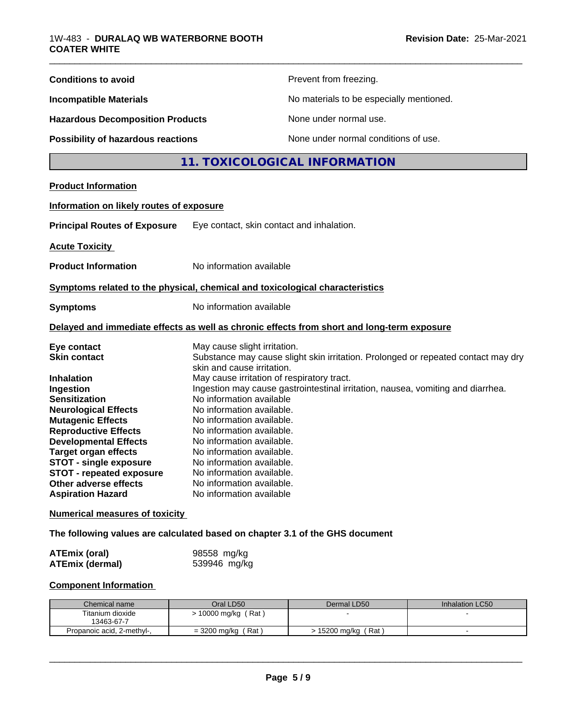| <b>Conditions to avoid</b><br>Prevent from freezing.                                                                                   |  |  |  |
|----------------------------------------------------------------------------------------------------------------------------------------|--|--|--|
| No materials to be especially mentioned.<br><b>Incompatible Materials</b>                                                              |  |  |  |
| <b>Hazardous Decomposition Products</b><br>None under normal use.                                                                      |  |  |  |
| None under normal conditions of use.<br><b>Possibility of hazardous reactions</b>                                                      |  |  |  |
| 11. TOXICOLOGICAL INFORMATION                                                                                                          |  |  |  |
| <b>Product Information</b>                                                                                                             |  |  |  |
| Information on likely routes of exposure                                                                                               |  |  |  |
| <b>Principal Routes of Exposure</b><br>Eye contact, skin contact and inhalation.                                                       |  |  |  |
| <b>Acute Toxicity</b>                                                                                                                  |  |  |  |
| <b>Product Information</b><br>No information available                                                                                 |  |  |  |
| Symptoms related to the physical, chemical and toxicological characteristics                                                           |  |  |  |
| No information available<br><b>Symptoms</b>                                                                                            |  |  |  |
| Delayed and immediate effects as well as chronic effects from short and long-term exposure                                             |  |  |  |
| May cause slight irritation.<br>Eye contact                                                                                            |  |  |  |
| Substance may cause slight skin irritation. Prolonged or repeated contact may dry<br><b>Skin contact</b><br>skin and cause irritation. |  |  |  |
| May cause irritation of respiratory tract.<br><b>Inhalation</b>                                                                        |  |  |  |
| Ingestion may cause gastrointestinal irritation, nausea, vomiting and diarrhea.<br>Ingestion                                           |  |  |  |
| No information available<br><b>Sensitization</b>                                                                                       |  |  |  |
| <b>Neurological Effects</b><br>No information available.<br><b>Mutagenic Effects</b><br>No information available.                      |  |  |  |
| <b>Reproductive Effects</b><br>No information available.                                                                               |  |  |  |
| <b>Developmental Effects</b><br>No information available.                                                                              |  |  |  |
| <b>Target organ effects</b><br>No information available.                                                                               |  |  |  |
| <b>STOT - single exposure</b><br>No information available.                                                                             |  |  |  |
| No information available.<br><b>STOT - repeated exposure</b>                                                                           |  |  |  |
| Other adverse effects<br>No information available.<br>No information available<br><b>Aspiration Hazard</b>                             |  |  |  |
| <b>Numerical measures of toxicity</b>                                                                                                  |  |  |  |
| The following values are calculated based on chapter 3.1 of the GHS document                                                           |  |  |  |
| 98558 mg/kg<br><b>ATEmix (oral)</b>                                                                                                    |  |  |  |
| 539946 mg/kg<br><b>ATEmix (dermal)</b>                                                                                                 |  |  |  |
| <b>Component Information</b>                                                                                                           |  |  |  |
| Oral LD50<br>Chemical name<br>Dermal LD50<br>Inhalation LC50                                                                           |  |  |  |
| Titanium dioxide<br>> 10000 mg/kg (Rat)<br>13463-67-7                                                                                  |  |  |  |

 $\overline{\phantom{a}}$  ,  $\overline{\phantom{a}}$  ,  $\overline{\phantom{a}}$  ,  $\overline{\phantom{a}}$  ,  $\overline{\phantom{a}}$  ,  $\overline{\phantom{a}}$  ,  $\overline{\phantom{a}}$  ,  $\overline{\phantom{a}}$  ,  $\overline{\phantom{a}}$  ,  $\overline{\phantom{a}}$  ,  $\overline{\phantom{a}}$  ,  $\overline{\phantom{a}}$  ,  $\overline{\phantom{a}}$  ,  $\overline{\phantom{a}}$  ,  $\overline{\phantom{a}}$  ,  $\overline{\phantom{a}}$ 

Propanoic acid, 2-methyl-, | = 3200 mg/kg (Rat ) | > 15200 mg/kg (Rat ) | -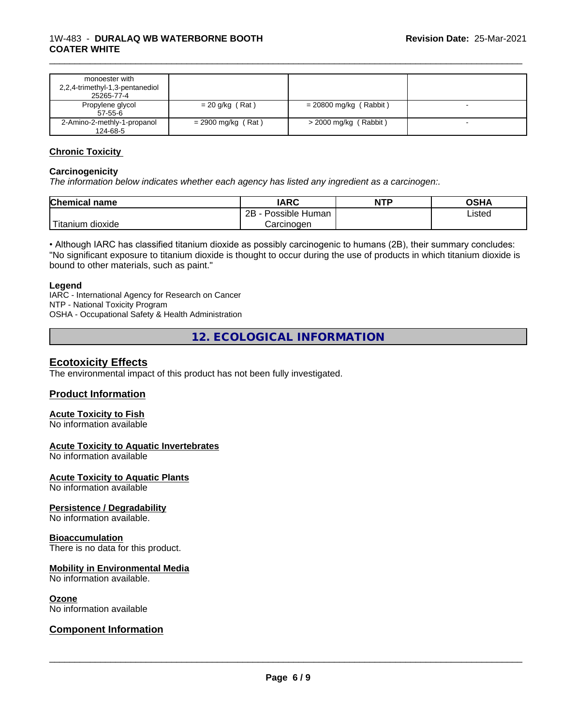| monoester with<br>2,2,4-trimethyl-1,3-pentanediol<br>25265-77-4 |                      |                          |  |
|-----------------------------------------------------------------|----------------------|--------------------------|--|
| Propylene glycol<br>$57 - 55 - 6$                               | $= 20$ g/kg (Rat)    | $= 20800$ mg/kg (Rabbit) |  |
| 2-Amino-2-methly-1-propanol<br>124-68-5                         | $= 2900$ mg/kg (Rat) | $>$ 2000 mg/kg (Rabbit)  |  |

\_\_\_\_\_\_\_\_\_\_\_\_\_\_\_\_\_\_\_\_\_\_\_\_\_\_\_\_\_\_\_\_\_\_\_\_\_\_\_\_\_\_\_\_\_\_\_\_\_\_\_\_\_\_\_\_\_\_\_\_\_\_\_\_\_\_\_\_\_\_\_\_\_\_\_\_\_\_\_\_\_\_\_\_\_\_\_\_\_\_\_\_\_

### **Chronic Toxicity**

### **Carcinogenicity**

*The information below indicateswhether each agency has listed any ingredient as a carcinogen:.*

| <b>Chemical name</b>      | <b>IARC</b>                      | <b>NTP</b> | OSHA   |
|---------------------------|----------------------------------|------------|--------|
|                           | . .<br>2B<br>: Human<br>Possible |            | Listed |
| dioxide<br><b>itanium</b> | Carcinogen                       |            |        |

• Although IARC has classified titanium dioxide as possibly carcinogenic to humans (2B), their summary concludes: "No significant exposure to titanium dioxide is thought to occur during the use of products in which titanium dioxide is bound to other materials, such as paint."

#### **Legend**

IARC - International Agency for Research on Cancer NTP - National Toxicity Program OSHA - Occupational Safety & Health Administration

**12. ECOLOGICAL INFORMATION**

## **Ecotoxicity Effects**

The environmental impact of this product has not been fully investigated.

## **Product Information**

## **Acute Toxicity to Fish**

No information available

#### **Acute Toxicity to Aquatic Invertebrates**

No information available

**Acute Toxicity to Aquatic Plants**

No information available

#### **Persistence / Degradability**

No information available.

#### **Bioaccumulation**

There is no data for this product.

### **Mobility in Environmental Media**

No information available.

#### **Ozone**

No information available

## **Component Information**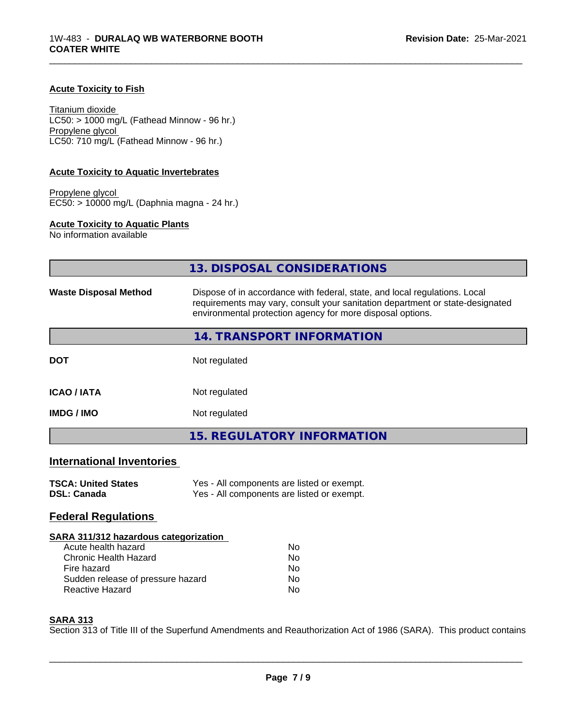## **Acute Toxicity to Fish**

Titanium dioxide  $LC50:$  > 1000 mg/L (Fathead Minnow - 96 hr.) Propylene glycol LC50: 710 mg/L (Fathead Minnow - 96 hr.)

### **Acute Toxicity to Aquatic Invertebrates**

Propylene glycol EC50: > 10000 mg/L (Daphnia magna - 24 hr.)

## **Acute Toxicity to Aquatic Plants**

No information available

|                                                  | <b>13. DISPOSAL CONSIDERATIONS</b>                                                                                                                                                                                        |
|--------------------------------------------------|---------------------------------------------------------------------------------------------------------------------------------------------------------------------------------------------------------------------------|
| <b>Waste Disposal Method</b>                     | Dispose of in accordance with federal, state, and local regulations. Local<br>requirements may vary, consult your sanitation department or state-designated<br>environmental protection agency for more disposal options. |
|                                                  | 14. TRANSPORT INFORMATION                                                                                                                                                                                                 |
| <b>DOT</b>                                       | Not regulated                                                                                                                                                                                                             |
| <b>ICAO/IATA</b>                                 | Not regulated                                                                                                                                                                                                             |
| <b>IMDG / IMO</b>                                | Not regulated                                                                                                                                                                                                             |
|                                                  | <b>15. REGULATORY INFORMATION</b>                                                                                                                                                                                         |
| <b>International Inventories</b>                 |                                                                                                                                                                                                                           |
| <b>TSCA: United States</b><br><b>DSL: Canada</b> | Yes - All components are listed or exempt.<br>Yes - All components are listed or exempt.                                                                                                                                  |
| <b>Federal Regulations</b>                       |                                                                                                                                                                                                                           |
| <b>SARA 311/312 hazardous categorization</b>     |                                                                                                                                                                                                                           |
| Acute health hazard                              | No                                                                                                                                                                                                                        |
| <b>Chronic Health Hazard</b>                     | No                                                                                                                                                                                                                        |
| Fire hazard                                      | No.                                                                                                                                                                                                                       |
| Sudden release of pressure hazard                | No                                                                                                                                                                                                                        |
| Reactive Hazard                                  | No                                                                                                                                                                                                                        |

\_\_\_\_\_\_\_\_\_\_\_\_\_\_\_\_\_\_\_\_\_\_\_\_\_\_\_\_\_\_\_\_\_\_\_\_\_\_\_\_\_\_\_\_\_\_\_\_\_\_\_\_\_\_\_\_\_\_\_\_\_\_\_\_\_\_\_\_\_\_\_\_\_\_\_\_\_\_\_\_\_\_\_\_\_\_\_\_\_\_\_\_\_

### **SARA 313**

Section 313 of Title III of the Superfund Amendments and Reauthorization Act of 1986 (SARA). This product contains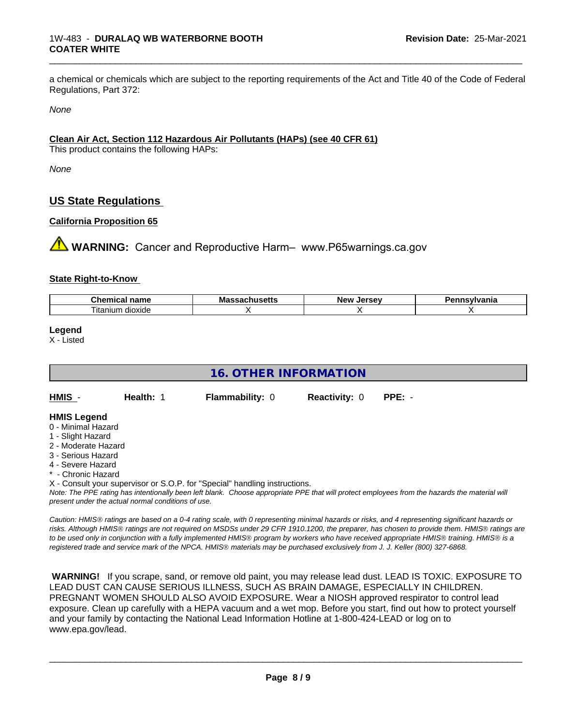a chemical or chemicals which are subject to the reporting requirements of the Act and Title 40 of the Code of Federal Regulations, Part 372:

\_\_\_\_\_\_\_\_\_\_\_\_\_\_\_\_\_\_\_\_\_\_\_\_\_\_\_\_\_\_\_\_\_\_\_\_\_\_\_\_\_\_\_\_\_\_\_\_\_\_\_\_\_\_\_\_\_\_\_\_\_\_\_\_\_\_\_\_\_\_\_\_\_\_\_\_\_\_\_\_\_\_\_\_\_\_\_\_\_\_\_\_\_

*None*

## **Clean Air Act,Section 112 Hazardous Air Pollutants (HAPs) (see 40 CFR 61)**

This product contains the following HAPs:

*None*

## **US State Regulations**

## **California Proposition 65**

**A WARNING:** Cancer and Reproductive Harm– www.P65warnings.ca.gov

### **State Right-to-Know**

| Chemical<br>name                   | Massachusetts | <b>LAPCAV</b><br><b>Nev</b><br>Jer<br>15c | ısvlvania |
|------------------------------------|---------------|-------------------------------------------|-----------|
| .<br>--<br>ıun<br>dioxide<br>itani |               |                                           |           |

**Legend**

X - Listed

| <b>16. OTHER INFORMATION</b>                                                                                                                          |                                                    |                                                                            |                      |                                                                                                                                               |  |  |
|-------------------------------------------------------------------------------------------------------------------------------------------------------|----------------------------------------------------|----------------------------------------------------------------------------|----------------------|-----------------------------------------------------------------------------------------------------------------------------------------------|--|--|
| HMIS -                                                                                                                                                | Health: 1                                          | <b>Flammability: 0</b>                                                     | <b>Reactivity: 0</b> | $PPE: -$                                                                                                                                      |  |  |
| <b>HMIS Legend</b><br>0 - Minimal Hazard<br>1 - Slight Hazard<br>2 - Moderate Hazard<br>3 - Serious Hazard<br>4 - Severe Hazard<br>* - Chronic Hazard |                                                    |                                                                            |                      |                                                                                                                                               |  |  |
|                                                                                                                                                       | present under the actual normal conditions of use. | X - Consult your supervisor or S.O.P. for "Special" handling instructions. |                      | Note: The PPE rating has intentionally been left blank. Choose appropriate PPE that will protect employees from the hazards the material will |  |  |

*Caution: HMISÒ ratings are based on a 0-4 rating scale, with 0 representing minimal hazards or risks, and 4 representing significant hazards or risks. Although HMISÒ ratings are not required on MSDSs under 29 CFR 1910.1200, the preparer, has chosen to provide them. HMISÒ ratings are to be used only in conjunction with a fully implemented HMISÒ program by workers who have received appropriate HMISÒ training. HMISÒ is a registered trade and service mark of the NPCA. HMISÒ materials may be purchased exclusively from J. J. Keller (800) 327-6868.*

 **WARNING!** If you scrape, sand, or remove old paint, you may release lead dust. LEAD IS TOXIC. EXPOSURE TO LEAD DUST CAN CAUSE SERIOUS ILLNESS, SUCH AS BRAIN DAMAGE, ESPECIALLY IN CHILDREN. PREGNANT WOMEN SHOULD ALSO AVOID EXPOSURE.Wear a NIOSH approved respirator to control lead exposure. Clean up carefully with a HEPA vacuum and a wet mop. Before you start, find out how to protect yourself and your family by contacting the National Lead Information Hotline at 1-800-424-LEAD or log on to www.epa.gov/lead.